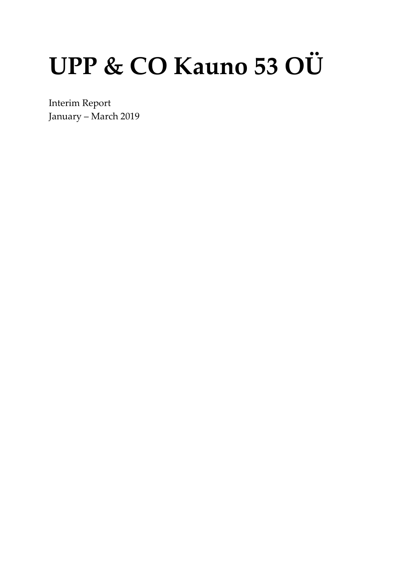# UPP & CO Kauno 53 OÜ

Interim Report January - March 2019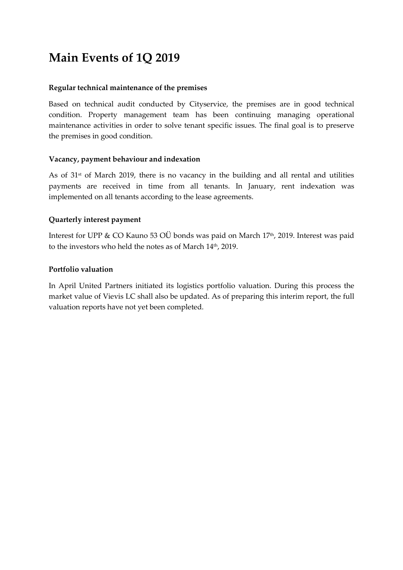## **Main Events of 1Q 2019**

#### **Regular technical maintenance of the premises**

Based on technical audit conducted by Cityservice, the premises are in good technical condition. Property management team has been continuing managing operational maintenance activities in order to solve tenant specific issues. The final goal is to preserve the premises in good condition.

#### **Vacancy, payment behaviour and indexation**

As of 31st of March 2019, there is no vacancy in the building and all rental and utilities payments are received in time from all tenants. In January, rent indexation was implemented on all tenants according to the lease agreements.

#### **Quarterly interest payment**

Interest for UPP & CO Kauno 53 OÜ bonds was paid on March 17<sup>th</sup>, 2019. Interest was paid to the investors who held the notes as of March 14 th, 2019.

#### **Portfolio valuation**

In April United Partners initiated its logistics portfolio valuation. During this process the market value of Vievis LC shall also be updated. As of preparing this interim report, the full valuation reports have not yet been completed.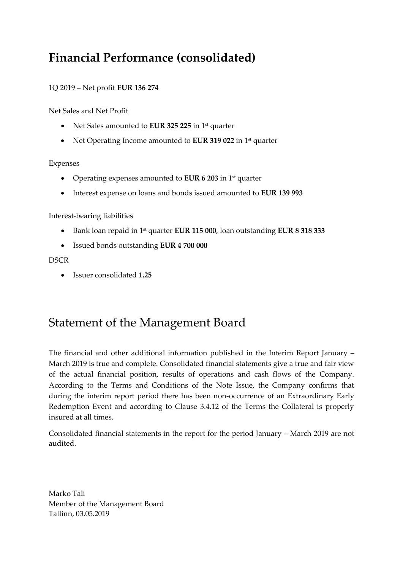## **Financial Performance (consolidated)**

#### 1Q 2019 – Net profit **EUR 136 274**

Net Sales and Net Profit

- Net Sales amounted to **EUR 325 225** in 1st quarter
- Net Operating Income amounted to **EUR 319 022** in 1<sup>st</sup> quarter

#### Expenses

- Operating expenses amounted to **EUR 6 203** in 1st quarter
- Interest expense on loans and bonds issued amounted to **EUR 139 993**

#### Interest-bearing liabilities

- Bank loan repaid in 1st quarter **EUR 115 000**, loan outstanding **EUR 8 318 333**
- Issued bonds outstanding **EUR 4 700 000**

#### **DSCR**

• Issuer consolidated **1.25**

### Statement of the Management Board

The financial and other additional information published in the Interim Report January – March 2019 is true and complete. Consolidated financial statements give a true and fair view of the actual financial position, results of operations and cash flows of the Company. According to the Terms and Conditions of the Note Issue, the Company confirms that during the interim report period there has been non-occurrence of an Extraordinary Early Redemption Event and according to Clause 3.4.12 of the Terms the Collateral is properly insured at all times.

Consolidated financial statements in the report for the period January – March 2019 are not audited.

Marko Tali Member of the Management Board Tallinn, 03.05.2019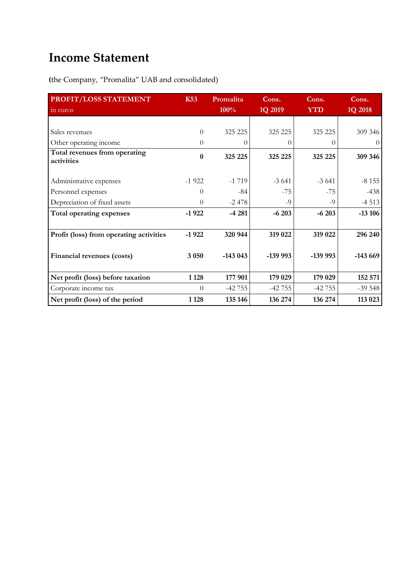## **Income Statement**

**(**the Company, "Promalita" UAB and consolidated)

| PROFIT/LOSS STATEMENT                       | <b>K53</b> | Promalita | Cons.     | Cons.            | Cons.     |
|---------------------------------------------|------------|-----------|-----------|------------------|-----------|
| in euros                                    |            | 100%      | 1Q 2019   | <b>YTD</b>       | 1Q 2018   |
|                                             |            |           |           |                  |           |
| Sales revenues                              | $\Omega$   | 325 225   | 325 225   | 325 225          | 309 346   |
| Other operating income                      | $\Omega$   | 0         | $\theta$  | $\left( \right)$ | $\theta$  |
| Total revenues from operating<br>activities | $\bf{0}$   | 325 225   | 325 225   | 325 225          | 309 346   |
| Administrative expenses                     | $-1922$    | $-1719$   | $-3641$   | $-3641$          | $-8155$   |
| Personnel expenses                          | $\Omega$   | $-84$     | $-75$     | $-75$            | $-438$    |
| Depreciation of fixed assets                | $\Omega$   | $-2478$   | -9        | $-9$             | $-4513$   |
| Total operating expenses                    | $-1922$    | $-4281$   | $-6203$   | $-6203$          | $-13106$  |
|                                             |            |           |           |                  |           |
| Profit (loss) from operating activities     | $-1922$    | 320 944   | 319 022   | 319 022          | 296 240   |
| Financial revenues (costs)                  | 3 0 5 0    | $-143043$ | $-139993$ | $-139993$        | $-143669$ |
| Net profit (loss) before taxation           | 1 1 2 8    | 177 901   | 179 029   | 179 029          | 152 571   |
| Corporate income tax                        | $\Omega$   | $-42755$  | $-42755$  | $-42755$         | $-39548$  |
| Net profit (loss) of the period             | 1 1 28     | 135 146   | 136 274   | 136 274          | 113 023   |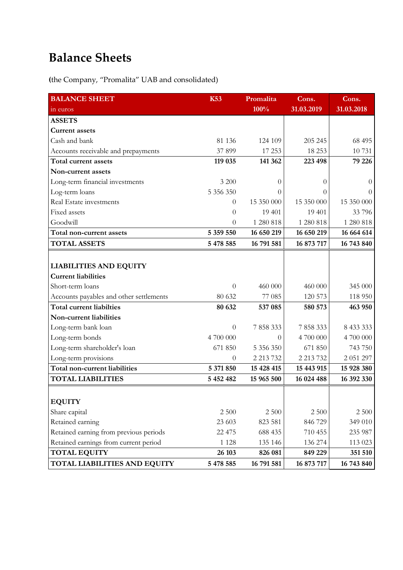## **Balance Sheets**

**(**the Company, "Promalita" UAB and consolidated)

| <b>BALANCE SHEET</b>                    | <b>K53</b> | Promalita  | Cons.      | Cons.      |
|-----------------------------------------|------------|------------|------------|------------|
| in euros                                |            | 100%       | 31.03.2019 | 31.03.2018 |
| <b>ASSETS</b>                           |            |            |            |            |
| <b>Current assets</b>                   |            |            |            |            |
| Cash and bank                           | 81 136     | 124 109    | 205 245    | 68 495     |
| Accounts receivable and prepayments     | 37 899     | 17 253     | 18 253     | 10 731     |
| Total current assets                    | 119 035    | 141 362    | 223 498    | 79 226     |
| Non-current assets                      |            |            |            |            |
| Long-term financial investments         | 3 200      | $\theta$   | $\theta$   | $\Omega$   |
| Log-term loans                          | 5 356 350  | $\theta$   | 0          | $\Omega$   |
| Real Estate investments                 | $\theta$   | 15 350 000 | 15 350 000 | 15 350 000 |
| Fixed assets                            | $\theta$   | 19 401     | 19 401     | 33 796     |
| Goodwill                                | $\theta$   | 1 280 818  | 1 280 818  | 1 280 818  |
| Total non-current assets                | 5 359 550  | 16 650 219 | 16 650 219 | 16 664 614 |
| <b>TOTAL ASSETS</b>                     | 5 478 585  | 16 791 581 | 16 873 717 | 16 743 840 |
|                                         |            |            |            |            |
| <b>LIABILITIES AND EQUITY</b>           |            |            |            |            |
| <b>Current liabilities</b>              |            |            |            |            |
| Short-term loans                        | $\theta$   | 460 000    | 460 000    | 345 000    |
| Accounts payables and other settlements | 80 632     | 77 085     | 120 573    | 118 950    |
| <b>Total current liabilties</b>         | 80 632     | 537 085    | 580 573    | 463 950    |
| Non-current liabilities                 |            |            |            |            |
| Long-term bank loan                     | $\theta$   | 7858333    | 7858333    | 8 433 333  |
| Long-term bonds                         | 4 700 000  | $\Omega$   | 4 700 000  | 4 700 000  |
| Long-term shareholder's loan            | 671 850    | 5 356 350  | 671 850    | 743 750    |
| Long-term provisions                    | $\theta$   | 2 213 732  | 2 213 732  | 2 051 297  |
| Total non-current liabilities           | 5 371 850  | 15 428 415 | 15 443 915 | 15 928 380 |
| <b>TOTAL LIABILITIES</b>                | 5 452 482  | 15 965 500 | 16 024 488 | 16 392 330 |
|                                         |            |            |            |            |
| <b>EQUITY</b>                           |            |            |            |            |
| Share capital                           | 2 500      | 2 5 0 0    | 2 500      | 2 500      |
| Retained earning                        | 23 603     | 823 581    | 846 729    | 349 010    |
| Retained earning from previous periods  | 22 475     | 688 435    | 710 455    | 235 987    |
| Retained earnings from current period   | 1 1 2 8    | 135 146    | 136 274    | 113 023    |
| <b>TOTAL EQUITY</b>                     | 26 103     | 826 081    | 849 229    | 351 510    |
| TOTAL LIABILITIES AND EQUITY            | 5 478 585  | 16 791 581 | 16 873 717 | 16 743 840 |